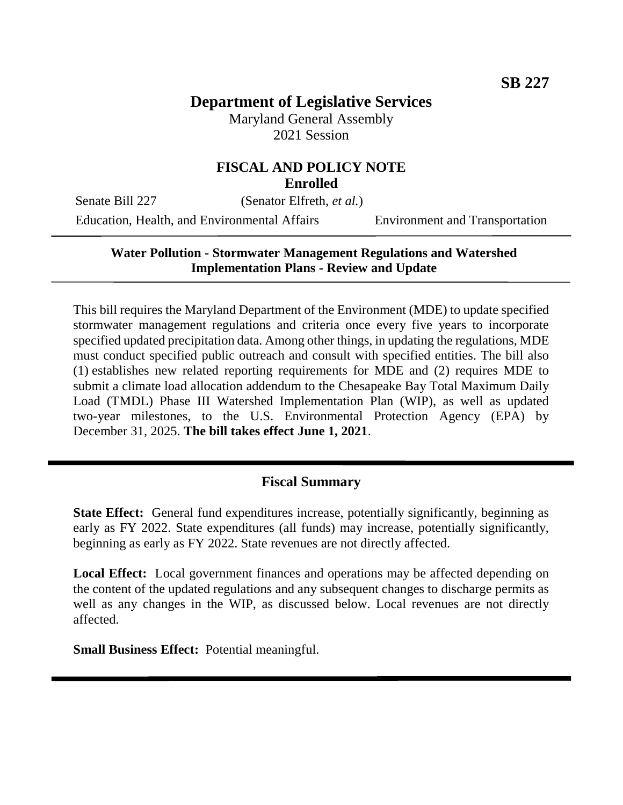# **Department of Legislative Services**

Maryland General Assembly 2021 Session

#### **FISCAL AND POLICY NOTE Enrolled**

Senate Bill 227 (Senator Elfreth, *et al.*)

Education, Health, and Environmental Affairs Environment and Transportation

# **Water Pollution - Stormwater Management Regulations and Watershed Implementation Plans - Review and Update**

This bill requires the Maryland Department of the Environment (MDE) to update specified stormwater management regulations and criteria once every five years to incorporate specified updated precipitation data. Among other things, in updating the regulations, MDE must conduct specified public outreach and consult with specified entities. The bill also (1) establishes new related reporting requirements for MDE and (2) requires MDE to submit a climate load allocation addendum to the Chesapeake Bay Total Maximum Daily Load (TMDL) Phase III Watershed Implementation Plan (WIP), as well as updated two-year milestones, to the U.S. Environmental Protection Agency (EPA) by December 31, 2025. **The bill takes effect June 1, 2021**.

### **Fiscal Summary**

**State Effect:** General fund expenditures increase, potentially significantly, beginning as early as FY 2022. State expenditures (all funds) may increase, potentially significantly, beginning as early as FY 2022. State revenues are not directly affected.

**Local Effect:** Local government finances and operations may be affected depending on the content of the updated regulations and any subsequent changes to discharge permits as well as any changes in the WIP, as discussed below. Local revenues are not directly affected.

**Small Business Effect:** Potential meaningful.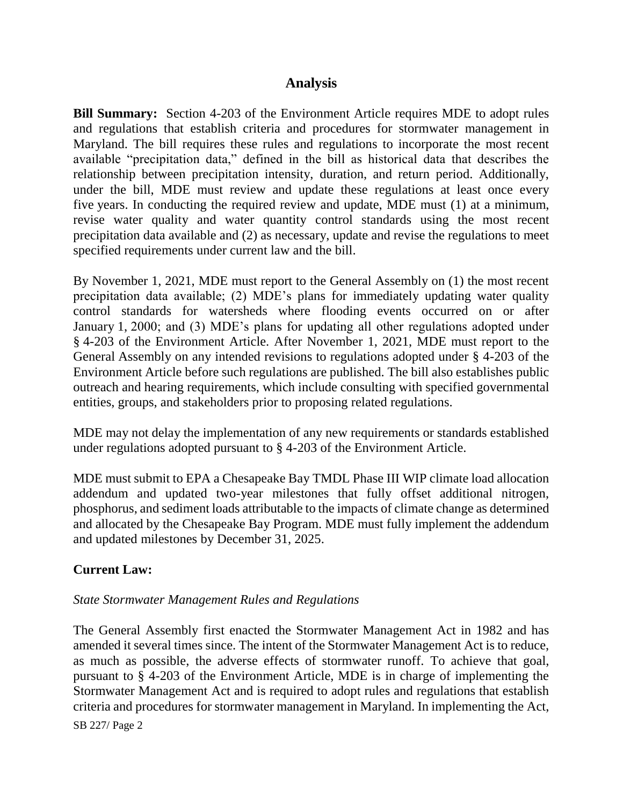# **Analysis**

**Bill Summary:** Section 4-203 of the Environment Article requires MDE to adopt rules and regulations that establish criteria and procedures for stormwater management in Maryland. The bill requires these rules and regulations to incorporate the most recent available "precipitation data," defined in the bill as historical data that describes the relationship between precipitation intensity, duration, and return period. Additionally, under the bill, MDE must review and update these regulations at least once every five years. In conducting the required review and update, MDE must (1) at a minimum, revise water quality and water quantity control standards using the most recent precipitation data available and (2) as necessary, update and revise the regulations to meet specified requirements under current law and the bill.

By November 1, 2021, MDE must report to the General Assembly on (1) the most recent precipitation data available; (2) MDE's plans for immediately updating water quality control standards for watersheds where flooding events occurred on or after January 1, 2000; and (3) MDE's plans for updating all other regulations adopted under § 4-203 of the Environment Article. After November 1, 2021, MDE must report to the General Assembly on any intended revisions to regulations adopted under § 4-203 of the Environment Article before such regulations are published. The bill also establishes public outreach and hearing requirements, which include consulting with specified governmental entities, groups, and stakeholders prior to proposing related regulations.

MDE may not delay the implementation of any new requirements or standards established under regulations adopted pursuant to § 4-203 of the Environment Article.

MDE must submit to EPA a Chesapeake Bay TMDL Phase III WIP climate load allocation addendum and updated two-year milestones that fully offset additional nitrogen, phosphorus, and sediment loads attributable to the impacts of climate change as determined and allocated by the Chesapeake Bay Program. MDE must fully implement the addendum and updated milestones by December 31, 2025.

### **Current Law:**

#### *State Stormwater Management Rules and Regulations*

The General Assembly first enacted the Stormwater Management Act in 1982 and has amended it several times since. The intent of the Stormwater Management Act is to reduce, as much as possible, the adverse effects of stormwater runoff. To achieve that goal, pursuant to § 4-203 of the Environment Article, MDE is in charge of implementing the Stormwater Management Act and is required to adopt rules and regulations that establish criteria and procedures for stormwater management in Maryland. In implementing the Act,

SB 227/ Page 2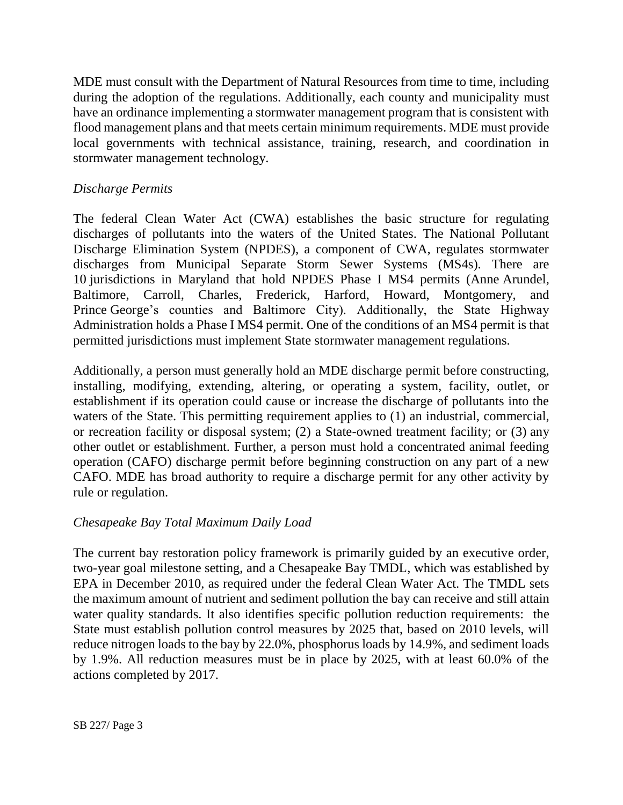MDE must consult with the Department of Natural Resources from time to time, including during the adoption of the regulations. Additionally, each county and municipality must have an ordinance implementing a stormwater management program that is consistent with flood management plans and that meets certain minimum requirements. MDE must provide local governments with technical assistance, training, research, and coordination in stormwater management technology.

# *Discharge Permits*

The federal Clean Water Act (CWA) establishes the basic structure for regulating discharges of pollutants into the waters of the United States. The National Pollutant Discharge Elimination System (NPDES), a component of CWA, regulates stormwater discharges from Municipal Separate Storm Sewer Systems (MS4s). There are 10 jurisdictions in Maryland that hold NPDES Phase I MS4 permits (Anne Arundel, Baltimore, Carroll, Charles, Frederick, Harford, Howard, Montgomery, and Prince George's counties and Baltimore City). Additionally, the State Highway Administration holds a Phase I MS4 permit. One of the conditions of an MS4 permit is that permitted jurisdictions must implement State stormwater management regulations.

Additionally, a person must generally hold an MDE discharge permit before constructing, installing, modifying, extending, altering, or operating a system, facility, outlet, or establishment if its operation could cause or increase the discharge of pollutants into the waters of the State. This permitting requirement applies to (1) an industrial, commercial, or recreation facility or disposal system; (2) a State-owned treatment facility; or (3) any other outlet or establishment. Further, a person must hold a concentrated animal feeding operation (CAFO) discharge permit before beginning construction on any part of a new CAFO. MDE has broad authority to require a discharge permit for any other activity by rule or regulation.

### *Chesapeake Bay Total Maximum Daily Load*

The current bay restoration policy framework is primarily guided by an executive order, two-year goal milestone setting, and a Chesapeake Bay TMDL, which was established by EPA in December 2010, as required under the federal Clean Water Act. The TMDL sets the maximum amount of nutrient and sediment pollution the bay can receive and still attain water quality standards. It also identifies specific pollution reduction requirements: the State must establish pollution control measures by 2025 that, based on 2010 levels, will reduce nitrogen loads to the bay by 22.0%, phosphorus loads by 14.9%, and sediment loads by 1.9%. All reduction measures must be in place by 2025, with at least 60.0% of the actions completed by 2017.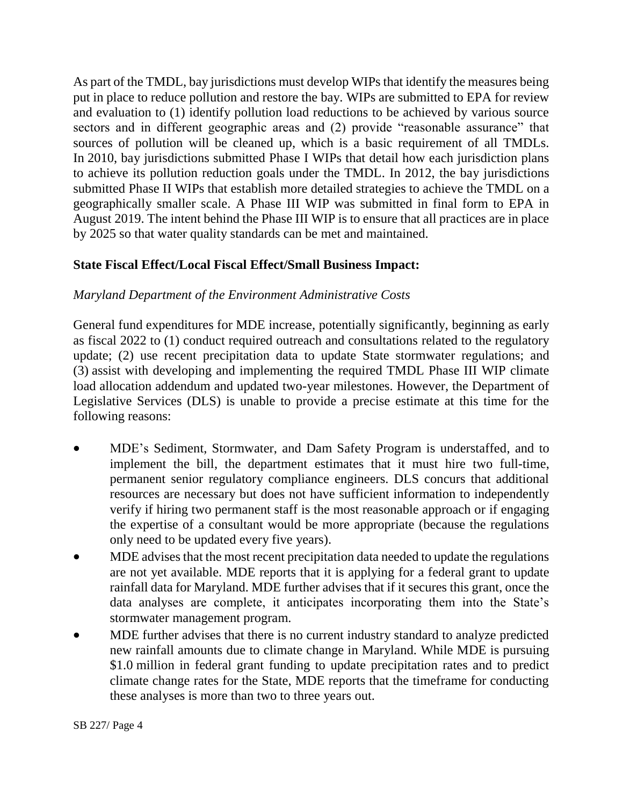As part of the TMDL, bay jurisdictions must develop WIPs that identify the measures being put in place to reduce pollution and restore the bay. WIPs are submitted to EPA for review and evaluation to (1) identify pollution load reductions to be achieved by various source sectors and in different geographic areas and (2) provide "reasonable assurance" that sources of pollution will be cleaned up, which is a basic requirement of all TMDLs. In 2010, bay jurisdictions submitted Phase I WIPs that detail how each jurisdiction plans to achieve its pollution reduction goals under the TMDL. In 2012, the bay jurisdictions submitted Phase II WIPs that establish more detailed strategies to achieve the TMDL on a geographically smaller scale. A Phase III WIP was submitted in final form to EPA in August 2019. The intent behind the Phase III WIP is to ensure that all practices are in place by 2025 so that water quality standards can be met and maintained.

# **State Fiscal Effect/Local Fiscal Effect/Small Business Impact:**

### *Maryland Department of the Environment Administrative Costs*

General fund expenditures for MDE increase, potentially significantly, beginning as early as fiscal 2022 to (1) conduct required outreach and consultations related to the regulatory update; (2) use recent precipitation data to update State stormwater regulations; and (3) assist with developing and implementing the required TMDL Phase III WIP climate load allocation addendum and updated two-year milestones. However, the Department of Legislative Services (DLS) is unable to provide a precise estimate at this time for the following reasons:

- MDE's Sediment, Stormwater, and Dam Safety Program is understaffed, and to implement the bill, the department estimates that it must hire two full-time, permanent senior regulatory compliance engineers. DLS concurs that additional resources are necessary but does not have sufficient information to independently verify if hiring two permanent staff is the most reasonable approach or if engaging the expertise of a consultant would be more appropriate (because the regulations only need to be updated every five years).
- MDE advises that the most recent precipitation data needed to update the regulations are not yet available. MDE reports that it is applying for a federal grant to update rainfall data for Maryland. MDE further advises that if it secures this grant, once the data analyses are complete, it anticipates incorporating them into the State's stormwater management program.
- MDE further advises that there is no current industry standard to analyze predicted new rainfall amounts due to climate change in Maryland. While MDE is pursuing \$1.0 million in federal grant funding to update precipitation rates and to predict climate change rates for the State, MDE reports that the timeframe for conducting these analyses is more than two to three years out.